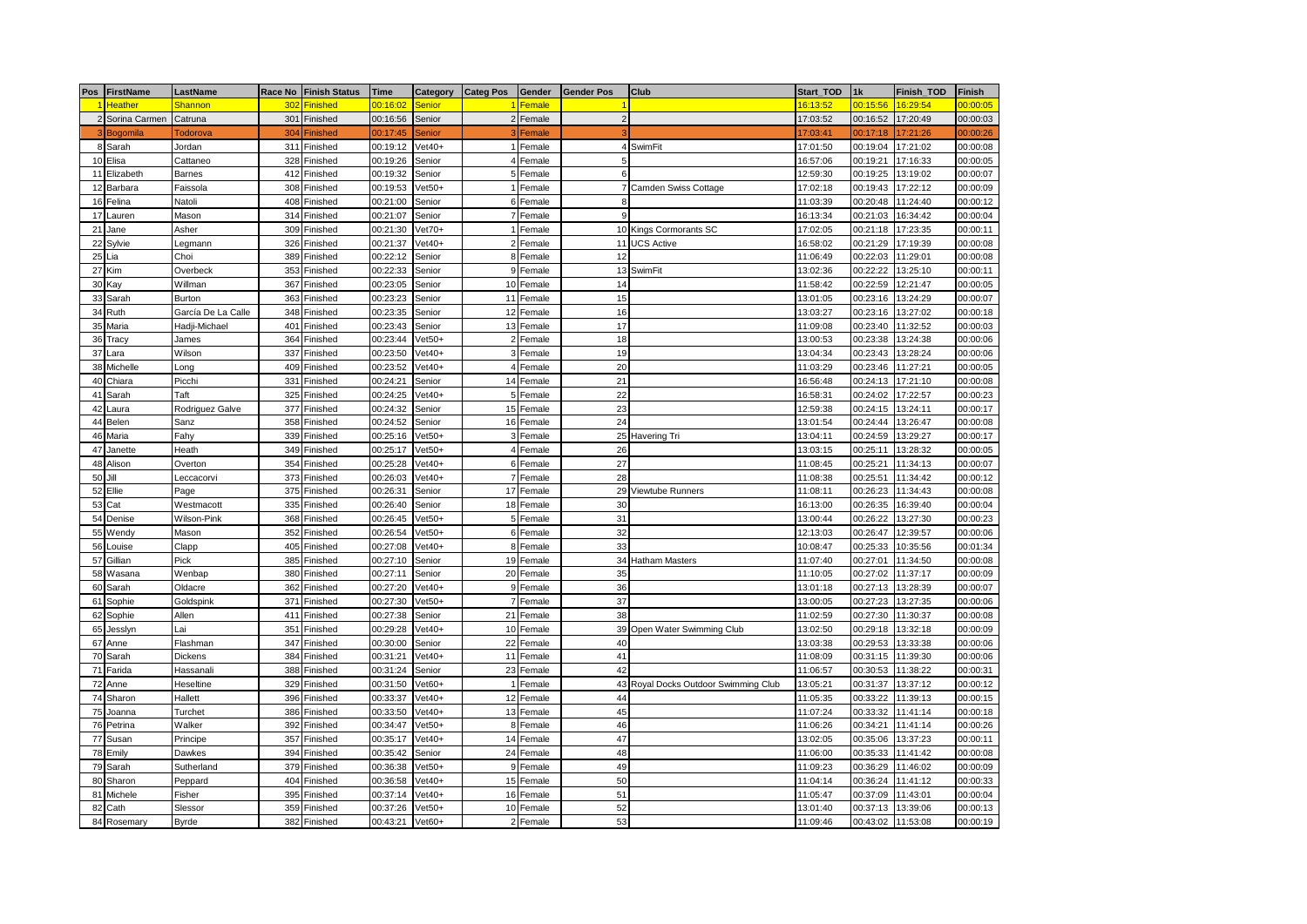|    | Pos FirstName   | LastName           |     | Race No Finish Status | <b>Time</b> |                       | Category Categ Pos Gender |           | <b>Gender Pos</b> | Club                                 | Start_TOD | 1k       | Finish_TOD | <b>Finish</b> |
|----|-----------------|--------------------|-----|-----------------------|-------------|-----------------------|---------------------------|-----------|-------------------|--------------------------------------|-----------|----------|------------|---------------|
|    | 1 Heather       | <b>Shannon</b>     | 302 | <b>Finished</b>       | 00:16:02    | Senior                |                           | 1 Female  |                   |                                      | 16:13:52  | 00:15:56 | 16:29:54   | 00:00:05      |
|    | 2 Sorina Carmen | Catruna            | 301 | Finished              | 00:16:56    | Senior                |                           | 2 Female  | $\overline{2}$    |                                      | 17:03:52  | 00:16:52 | 17:20:49   | 00:00:03      |
|    | 3 Bogomila      | Todorova           | 304 | <b>Finished</b>       | 00:17:45    | Senior                |                           | Female    |                   |                                      | 17:03:41  | 00:17:18 | 17:21:26   | 00:00:26      |
|    | 8 Sarah         | Jordan             | 311 | Finished              | 00:19:12    | $Vet40+$              |                           | 1 Female  | $\overline{4}$    | SwimFit                              | 17:01:50  | 00:19:04 | 17:21:02   | 00:00:08      |
|    | 10 Elisa        | Cattaneo           | 328 | Finished              | 00:19:26    | Senior                |                           | 4 Female  | 5                 |                                      | 16:57:06  | 00:19:21 | 17:16:33   | 00:00:05      |
|    | 11 Elizabeth    | <b>Barnes</b>      |     | 412 Finished          | 00:19:32    | Senior                |                           | 5 Female  | 6                 |                                      | 12:59:30  | 00:19:25 | 13:19:02   | 00:00:07      |
| 12 | Barbara         | Faissola           | 308 | Finished              | 00:19:53    | $\sqrt{\text{et}}50+$ |                           | 1 Female  |                   | Camden Swiss Cottage                 | 17:02:18  | 00:19:43 | 17:22:12   | 00:00:09      |
| 16 | Felina          | Natoli             | 408 | Finished              | 00:21:00    | Senior                |                           | 6 Female  | 8                 |                                      | 11:03:39  | 00:20:48 | 11:24:40   | 00:00:12      |
| 17 | Lauren          | Mason              |     | 314 Finished          | 00:21:07    | Senior                |                           | 7 Female  | 9                 |                                      | 16:13:34  | 00:21:03 | 16:34:42   | 00:00:04      |
| 21 | Jane            | Asher              |     | 309 Finished          | 00:21:30    | $Vet70+$              |                           | 1 Female  |                   | 10 Kings Cormorants SC               | 17:02:05  | 00:21:18 | 17:23:35   | 00:00:11      |
| 22 | Sylvie          | Legmann            |     | 326 Finished          | 00:21:37    | $\sqrt{\text{et}}40+$ |                           | 2 Female  |                   | 11 UCS Active                        | 16:58:02  | 00:21:29 | 17:19:39   | 00:00:08      |
| 25 | Lia             | Choi               | 389 | Finished              | 00:22:12    | Senior                |                           | 8 Female  | 12                |                                      | 11:06:49  | 00:22:03 | 11:29:01   | 00:00:08      |
| 27 | Kim             | Overbeck           |     | 353 Finished          | 00:22:33    | Senior                |                           | 9 Female  |                   | 13 SwimFit                           | 13:02:36  | 00:22:22 | 13:25:10   | 00:00:11      |
| 30 | Kay             | Willman            | 367 | Finished              | 00:23:05    | Senior                |                           | 10 Female | 14                |                                      | 11:58:42  | 00:22:59 | 12:21:47   | 00:00:05      |
| 33 | Sarah           | Burton             | 363 | Finished              | 00:23:23    | Senior                |                           | 11 Female | 15                |                                      | 13:01:05  | 00:23:16 | 13:24:29   | 00:00:07      |
| 34 | Ruth            | García De La Calle | 348 | Finished              | 00:23:35    | Senior                |                           | 12 Female | 16                |                                      | 13:03:27  | 00:23:16 | 13:27:02   | 00:00:18      |
| 35 | Maria           | Hadji-Michael      | 401 | Finished              | 00:23:43    | Senior                |                           | 13 Female | 17                |                                      | 11:09:08  | 00:23:40 | 11:32:52   | 00:00:03      |
| 36 | Tracy           | James              | 364 | Finished              | 00:23:44    | $/et50+$              |                           | 2 Female  | 18                |                                      | 13:00:53  | 00:23:38 | 13:24:38   | 00:00:06      |
| 37 | Lara            | Wilson             | 337 | Finished              | 00:23:50    | $\sqrt{\text{et}}40+$ |                           | 3 Female  | 19                |                                      | 13:04:34  | 00:23:43 | 13:28:24   | 00:00:06      |
|    | 38 Michelle     | Long               | 409 | Finished              | 00:23:52    | $\sqrt{\text{et}}40+$ |                           | 4 Female  | 20                |                                      | 11:03:29  | 00:23:46 | 11:27:21   | 00:00:05      |
| 40 | Chiara          | Picchi             | 331 | Finished              | 00:24:21    | Senior                |                           | 14 Female | 21                |                                      | 16:56:48  | 00:24:13 | 17:21:10   | 00:00:08      |
| 41 | Sarah           | Taft               | 325 | Finished              | 00:24:25    | $\sqrt{\text{et}}40+$ |                           | 5 Female  | 22                |                                      | 16:58:31  | 00:24:02 | 17:22:57   | 00:00:23      |
| 42 | Laura           | Rodriguez Galve    | 377 | Finished              | 00:24:32    | Senior                |                           | 15 Female | 23                |                                      | 12:59:38  | 00:24:15 | 13:24:11   | 00:00:17      |
| 44 | Belen           | Sanz               |     | 358 Finished          | 00:24:52    | Senior                |                           | 16 Female | 24                |                                      | 13:01:54  | 00:24:44 | 13:26:47   | 00:00:08      |
| 46 | Maria           | Fahy               |     | 339 Finished          | 00:25:16    | $\sqrt{\text{et}50+}$ |                           | 3 Female  |                   | 25 Havering Tri                      | 13:04:11  | 00:24:59 | 13:29:27   | 00:00:17      |
| 47 | Janette         | Heath              |     | 349 Finished          | 00:25:17    | $/et50+$              |                           | 4 Female  | 26                |                                      | 13:03:15  | 00:25:11 | 13:28:32   | 00:00:05      |
| 48 | Alison          | Overton            | 354 | Finished              | 00:25:28    | $/et40+$              |                           | 6 Female  | 27                |                                      | 11:08:45  | 00:25:21 | 11:34:13   | 00:00:07      |
| 50 | Jill            | Leccacorvi         |     | 373 Finished          | 00:26:03    | $Vet40+$              |                           | 7 Female  | 28                |                                      | 11:08:38  | 00:25:51 | 11:34:42   | 00:00:12      |
| 52 | Ellie           | Page               |     | 375 Finished          | 00:26:31    | Senior                |                           | 17 Female | 29                | Viewtube Runners                     | 11:08:11  | 00:26:23 | 11:34:43   | 00:00:08      |
|    | 53 Cat          | Westmacott         |     | 335 Finished          | 00:26:40    | Senior                |                           | 18 Female | 30                |                                      | 16:13:00  | 00:26:35 | 16:39:40   | 00:00:04      |
|    | 54 Denise       | Wilson-Pink        | 368 | Finished              | 00:26:45    | $/et50+$              |                           | 5 Female  | 31                |                                      | 13:00:44  | 00:26:22 | 13:27:30   | 00:00:23      |
|    | 55 Wendy        | Mason              | 352 | Finished              | 00:26:54    | $\sqrt{\text{et}50+}$ |                           | 6 Female  | 32                |                                      | 12:13:03  | 00:26:47 | 12:39:57   | 00:00:06      |
| 56 | Louise          | Clapp              | 405 | Finished              | 00:27:08    | $\sqrt{\text{et}}40+$ |                           | 8 Female  | 33                |                                      | 10:08:47  | 00:25:33 | 10:35:56   | 00:01:34      |
| 57 | Gillian         | Pick               |     | 385 Finished          | 00:27:10    | Senior                |                           | 19 Female |                   | 34 Hatham Masters                    | 11:07:40  | 00:27:01 | 11:34:50   | 00:00:08      |
|    | 58 Wasana       | Wenbap             |     | 380 Finished          | 00:27:11    | Senior                |                           | 20 Female | 35                |                                      | 11:10:05  | 00:27:02 | 11:37:17   | 00:00:09      |
| 60 | Sarah           | Oldacre            | 362 | Finished              | 00:27:20    | $Vet40+$              |                           | 9 Female  | 36                |                                      | 13:01:18  | 00:27:13 | 13:28:39   | 00:00:07      |
| 61 | Sophie          | Goldspink          | 371 | Finished              | 00:27:30    | $\sqrt{\text{et}}50+$ | $\overline{7}$            | Female    | 37                |                                      | 13:00:05  | 00:27:23 | 13:27:35   | 00:00:06      |
| 62 | Sophie          | Allen              | 411 | Finished              | 00:27:38    | Senior                |                           | 21 Female | 38                |                                      | 11:02:59  | 00:27:30 | 11:30:37   | 00:00:08      |
| 65 | Jesslyn         | Lai                | 351 | Finished              | 00:29:28    | $/et40+$              |                           | 10 Female |                   | 39 Open Water Swimming Club          | 13:02:50  | 00:29:18 | 13:32:18   | 00:00:09      |
| 67 | Anne            | Flashman           | 347 | Finished              | 00:30:00    | Senior                |                           | 22 Female | 40                |                                      | 13:03:38  | 00:29:53 | 13:33:38   | 00:00:06      |
|    | 70 Sarah        | Dickens            | 384 | Finished              | 00:31:21    | $Vet40+$              |                           | 11 Female | 41                |                                      | 11:08:09  | 00:31:15 | 11:39:30   | 00:00:06      |
| 71 | Farida          | Hassanali          | 388 | Finished              | 00:31:24    | Senior                |                           | 23 Female | 42                |                                      | 11:06:57  | 00:30:53 | 11:38:22   | 00:00:31      |
| 72 | Anne            | Heseltine          |     | 329 Finished          | 00:31:50    | $\sqrt{\text{et}60+}$ |                           | 1 Female  |                   | 43 Royal Docks Outdoor Swimming Club | 13:05:21  | 00:31:37 | 13:37:12   | 00:00:12      |
| 74 | Sharon          | Hallett            |     | 396 Finished          | 00:33:37    | $\sqrt{\text{et}}40+$ |                           | 12 Female | 44                |                                      | 11:05:35  | 00:33:22 | 11:39:13   | 00:00:15      |
| 75 | Joanna          | Turchet            | 386 | Finished              | 00:33:50    | $Vet40+$              |                           | 13 Female | 45                |                                      | 11:07:24  | 00:33:32 | 11:41:14   | 00:00:18      |
| 76 | Petrina         | Walker             | 392 | Finished              | 00:34:47    | $\sqrt{\text{et}}50+$ |                           | 8 Female  | 46                |                                      | 11:06:26  | 00:34:21 | 11:41:14   | 00:00:26      |
| 77 | Susan           | Principe           | 357 | Finished              | 00:35:17    | $Vet40+$              |                           | 14 Female | 47                |                                      | 13:02:05  | 00:35:06 | 13:37:23   | 00:00:11      |
|    | 78 Emily        | Dawkes             | 394 | Finished              | 00:35:42    | Senior                |                           | 24 Female | 48                |                                      | 11:06:00  | 00:35:33 | 11:41:42   | 00:00:08      |
| 79 | Sarah           | Sutherland         | 379 | Finished              | 00:36:38    | $Vet50+$              |                           | 9 Female  | 49                |                                      | 11:09:23  | 00:36:29 | 11:46:02   | 00:00:09      |
| 80 | Sharon          | Peppard            | 404 | Finished              | 00:36:58    | $/et40+$              |                           | 15 Female | 50                |                                      | 11:04:14  | 00:36:24 | 11:41:12   | 00:00:33      |
| 81 | Michele         | Fisher             | 395 | Finished              | 00:37:14    | $let40+$              |                           | 16 Female | 51                |                                      | 11:05:47  | 00:37:09 | 11:43:01   | 00:00:04      |
| 82 | Cath            | Slessor            |     | 359 Finished          | 00:37:26    | $/et50+$              |                           | 10 Female | 52                |                                      | 13:01:40  | 00:37:13 | 13:39:06   | 00:00:13      |
|    | 84 Rosemary     | <b>Byrde</b>       |     | 382 Finished          | 00:43:21    | $Vet60+$              |                           | 2 Female  | 53                |                                      | 11:09:46  | 00:43:02 | 11:53:08   | 00:00:19      |